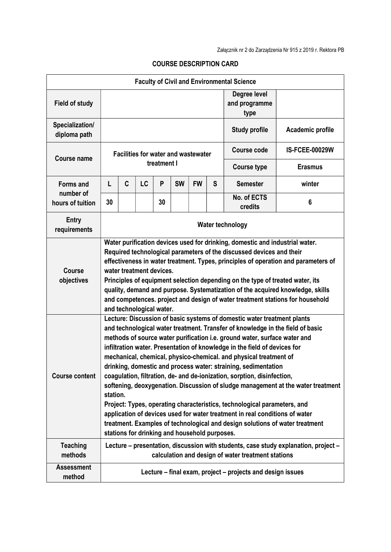| <b>Faculty of Civil and Environmental Science</b> |                                                                                                                                                                                                                                                                                                                                                                                                                                                                                                                                                                                                                                                                                                                                                                                                                                                                                                                                   |                                                                                                                                           |                                                                                                                                                                                                                                                                                                                                                                                                                                                                                                                                                        |             |           |           |                                       |                                                                 |                       |  |  |
|---------------------------------------------------|-----------------------------------------------------------------------------------------------------------------------------------------------------------------------------------------------------------------------------------------------------------------------------------------------------------------------------------------------------------------------------------------------------------------------------------------------------------------------------------------------------------------------------------------------------------------------------------------------------------------------------------------------------------------------------------------------------------------------------------------------------------------------------------------------------------------------------------------------------------------------------------------------------------------------------------|-------------------------------------------------------------------------------------------------------------------------------------------|--------------------------------------------------------------------------------------------------------------------------------------------------------------------------------------------------------------------------------------------------------------------------------------------------------------------------------------------------------------------------------------------------------------------------------------------------------------------------------------------------------------------------------------------------------|-------------|-----------|-----------|---------------------------------------|-----------------------------------------------------------------|-----------------------|--|--|
| <b>Field of study</b>                             |                                                                                                                                                                                                                                                                                                                                                                                                                                                                                                                                                                                                                                                                                                                                                                                                                                                                                                                                   |                                                                                                                                           |                                                                                                                                                                                                                                                                                                                                                                                                                                                                                                                                                        |             |           |           | Degree level<br>and programme<br>type |                                                                 |                       |  |  |
| Specialization/<br>diploma path                   |                                                                                                                                                                                                                                                                                                                                                                                                                                                                                                                                                                                                                                                                                                                                                                                                                                                                                                                                   |                                                                                                                                           |                                                                                                                                                                                                                                                                                                                                                                                                                                                                                                                                                        |             |           |           |                                       | <b>Study profile</b>                                            | Academic profile      |  |  |
| <b>Course name</b>                                | <b>Facilities for water and wastewater</b>                                                                                                                                                                                                                                                                                                                                                                                                                                                                                                                                                                                                                                                                                                                                                                                                                                                                                        |                                                                                                                                           |                                                                                                                                                                                                                                                                                                                                                                                                                                                                                                                                                        |             |           |           |                                       | <b>Course code</b>                                              | <b>IS-FCEE-00029W</b> |  |  |
|                                                   |                                                                                                                                                                                                                                                                                                                                                                                                                                                                                                                                                                                                                                                                                                                                                                                                                                                                                                                                   |                                                                                                                                           |                                                                                                                                                                                                                                                                                                                                                                                                                                                                                                                                                        | treatment I |           |           |                                       | <b>Course type</b><br><b>Semester</b><br>No. of ECTS<br>credits | <b>Erasmus</b>        |  |  |
| <b>Forms and</b><br>number of<br>hours of tuition | L                                                                                                                                                                                                                                                                                                                                                                                                                                                                                                                                                                                                                                                                                                                                                                                                                                                                                                                                 | C                                                                                                                                         | LC                                                                                                                                                                                                                                                                                                                                                                                                                                                                                                                                                     | P           | <b>SW</b> | <b>FW</b> | S                                     |                                                                 | winter                |  |  |
|                                                   | 30                                                                                                                                                                                                                                                                                                                                                                                                                                                                                                                                                                                                                                                                                                                                                                                                                                                                                                                                |                                                                                                                                           |                                                                                                                                                                                                                                                                                                                                                                                                                                                                                                                                                        | 30          |           |           |                                       |                                                                 | 6                     |  |  |
| <b>Entry</b><br>requirements                      | Water technology                                                                                                                                                                                                                                                                                                                                                                                                                                                                                                                                                                                                                                                                                                                                                                                                                                                                                                                  |                                                                                                                                           |                                                                                                                                                                                                                                                                                                                                                                                                                                                                                                                                                        |             |           |           |                                       |                                                                 |                       |  |  |
| <b>Course</b><br>objectives                       |                                                                                                                                                                                                                                                                                                                                                                                                                                                                                                                                                                                                                                                                                                                                                                                                                                                                                                                                   |                                                                                                                                           | Water purification devices used for drinking, domestic and industrial water.<br>Required technological parameters of the discussed devices and their<br>effectiveness in water treatment. Types, principles of operation and parameters of<br>water treatment devices.<br>Principles of equipment selection depending on the type of treated water, its<br>quality, demand and purpose. Systematization of the acquired knowledge, skills<br>and competences. project and design of water treatment stations for household<br>and technological water. |             |           |           |                                       |                                                                 |                       |  |  |
| <b>Course content</b>                             | Lecture: Discussion of basic systems of domestic water treatment plants<br>and technological water treatment. Transfer of knowledge in the field of basic<br>methods of source water purification i.e. ground water, surface water and<br>infiltration water. Presentation of knowledge in the field of devices for<br>mechanical, chemical, physico-chemical. and physical treatment of<br>drinking, domestic and process water: straining, sedimentation<br>coagulation, filtration, de- and de-ionization, sorption, disinfection,<br>softening, deoxygenation. Discussion of sludge management at the water treatment<br>station.<br>Project: Types, operating characteristics, technological parameters, and<br>application of devices used for water treatment in real conditions of water<br>treatment. Examples of technological and design solutions of water treatment<br>stations for drinking and household purposes. |                                                                                                                                           |                                                                                                                                                                                                                                                                                                                                                                                                                                                                                                                                                        |             |           |           |                                       |                                                                 |                       |  |  |
| <b>Teaching</b><br>methods                        |                                                                                                                                                                                                                                                                                                                                                                                                                                                                                                                                                                                                                                                                                                                                                                                                                                                                                                                                   | Lecture – presentation, discussion with students, case study explanation, project –<br>calculation and design of water treatment stations |                                                                                                                                                                                                                                                                                                                                                                                                                                                                                                                                                        |             |           |           |                                       |                                                                 |                       |  |  |
| <b>Assessment</b><br>method                       |                                                                                                                                                                                                                                                                                                                                                                                                                                                                                                                                                                                                                                                                                                                                                                                                                                                                                                                                   | Lecture – final exam, project – projects and design issues                                                                                |                                                                                                                                                                                                                                                                                                                                                                                                                                                                                                                                                        |             |           |           |                                       |                                                                 |                       |  |  |

## COURSE DESCRIPTION CARD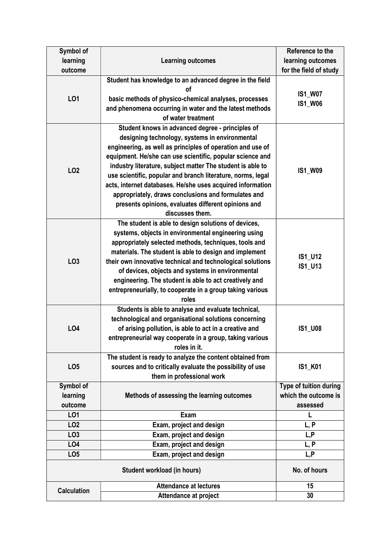| Symbol of                        |                                                                                                                                                                                                                                                                                                                                                                                                                                                                                                                                                           | Reference to the                                           |
|----------------------------------|-----------------------------------------------------------------------------------------------------------------------------------------------------------------------------------------------------------------------------------------------------------------------------------------------------------------------------------------------------------------------------------------------------------------------------------------------------------------------------------------------------------------------------------------------------------|------------------------------------------------------------|
| learning                         | <b>Learning outcomes</b>                                                                                                                                                                                                                                                                                                                                                                                                                                                                                                                                  | learning outcomes                                          |
| outcome                          |                                                                                                                                                                                                                                                                                                                                                                                                                                                                                                                                                           | for the field of study                                     |
| LO1                              | Student has knowledge to an advanced degree in the field<br>οf<br>basic methods of physico-chemical analyses, processes<br>and phenomena occurring in water and the latest methods<br>of water treatment                                                                                                                                                                                                                                                                                                                                                  | <b>IS1_W07</b><br><b>IS1_W06</b>                           |
| LO <sub>2</sub>                  | Student knows in advanced degree - principles of<br>designing technology, systems in environmental<br>engineering, as well as principles of operation and use of<br>equipment. He/she can use scientific, popular science and<br>industry literature, subject matter The student is able to<br>use scientific, popular and branch literature, norms, legal<br>acts, internet databases. He/she uses acquired information<br>appropriately, draws conclusions and formulates and<br>presents opinions, evaluates different opinions and<br>discusses them. | <b>IS1_W09</b>                                             |
| LO <sub>3</sub>                  | The student is able to design solutions of devices,<br>systems, objects in environmental engineering using<br>appropriately selected methods, techniques, tools and<br>materials. The student is able to design and implement<br>their own innovative technical and technological solutions<br>of devices, objects and systems in environmental<br>engineering. The student is able to act creatively and<br>entrepreneurially, to cooperate in a group taking various<br>roles                                                                           | IS1_U12<br>IS1_U13                                         |
| LO <sub>4</sub>                  | Students is able to analyse and evaluate technical,<br>technological and organisational solutions concerning<br>of arising pollution, is able to act in a creative and<br>entrepreneurial way cooperate in a group, taking various<br>roles in it.                                                                                                                                                                                                                                                                                                        | <b>IS1_U08</b>                                             |
| LO <sub>5</sub>                  | The student is ready to analyze the content obtained from<br>sources and to critically evaluate the possibility of use<br>them in professional work                                                                                                                                                                                                                                                                                                                                                                                                       | <b>IS1_K01</b>                                             |
| Symbol of<br>learning<br>outcome | Methods of assessing the learning outcomes                                                                                                                                                                                                                                                                                                                                                                                                                                                                                                                | Type of tuition during<br>which the outcome is<br>assessed |
| LO1                              | Exam                                                                                                                                                                                                                                                                                                                                                                                                                                                                                                                                                      | L                                                          |
| LO <sub>2</sub>                  | Exam, project and design                                                                                                                                                                                                                                                                                                                                                                                                                                                                                                                                  | L, P                                                       |
| LO <sub>3</sub>                  | Exam, project and design                                                                                                                                                                                                                                                                                                                                                                                                                                                                                                                                  | L, P                                                       |
| LO <sub>4</sub>                  | Exam, project and design                                                                                                                                                                                                                                                                                                                                                                                                                                                                                                                                  | L, P                                                       |
| LO <sub>5</sub>                  | Exam, project and design                                                                                                                                                                                                                                                                                                                                                                                                                                                                                                                                  | L, P                                                       |
|                                  | No. of hours                                                                                                                                                                                                                                                                                                                                                                                                                                                                                                                                              |                                                            |
| <b>Calculation</b>               | Attendance at lectures                                                                                                                                                                                                                                                                                                                                                                                                                                                                                                                                    | 15                                                         |
|                                  | Attendance at project                                                                                                                                                                                                                                                                                                                                                                                                                                                                                                                                     | 30                                                         |